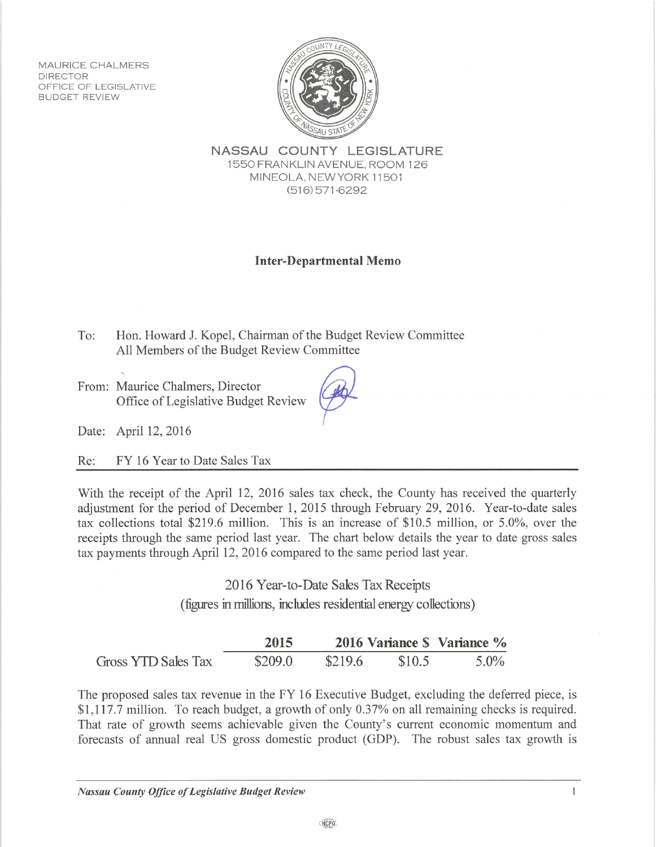MAURICE CHALMERS **DIRECTOR** OFFICE OF LEGISLATIVE **BUDGET REVIEW** 



NASSAU COUNTY LEGISLATURE 1550 FRANKLIN AVENUE, ROOM 126 MINEOLA, NEW YORK 11501  $(516) 571 - 6292$ 

## **Inter-Departmental Memo**

Hon. Howard J. Kopel, Chairman of the Budget Review Committee To: All Members of the Budget Review Committee

From: Maurice Chalmers, Director Office of Legislative Budget Review

Date: April 12, 2016

FY 16 Year to Date Sales Tax  $Re:$ 

With the receipt of the April 12, 2016 sales tax check, the County has received the quarterly adjustment for the period of December 1, 2015 through February 29, 2016. Year-to-date sales tax collections total \$219.6 million. This is an increase of \$10.5 million, or 5.0%, over the receipts through the same period last year. The chart below details the year to date gross sales tax payments through April 12, 2016 compared to the same period last year.

> 2016 Year-to-Date Sales Tax Receipts (figures in millions, includes residential energy collections)

|                     | 2015    |         |        | 2016 Variance \$ Variance % |
|---------------------|---------|---------|--------|-----------------------------|
| Gross YTD Sales Tax | \$209.0 | \$219.6 | \$10.5 | $5.0\%$                     |

The proposed sales tax revenue in the FY 16 Executive Budget, excluding the deferred piece, is \$1,117.7 million. To reach budget, a growth of only 0.37% on all remaining checks is required. That rate of growth seems achievable given the County's current economic momentum and forecasts of annual real US gross domestic product (GDP). The robust sales tax growth is

 $\mathbf{1}$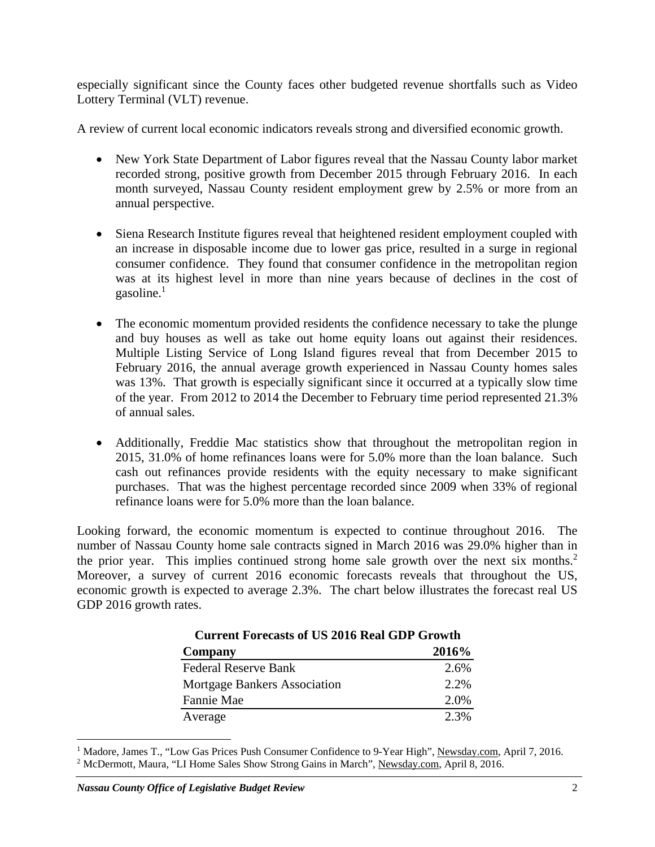especially significant since the County faces other budgeted revenue shortfalls such as Video Lottery Terminal (VLT) revenue.

A review of current local economic indicators reveals strong and diversified economic growth.

- New York State Department of Labor figures reveal that the Nassau County labor market recorded strong, positive growth from December 2015 through February 2016. In each month surveyed, Nassau County resident employment grew by 2.5% or more from an annual perspective.
- Siena Research Institute figures reveal that heightened resident employment coupled with an increase in disposable income due to lower gas price, resulted in a surge in regional consumer confidence. They found that consumer confidence in the metropolitan region was at its highest level in more than nine years because of declines in the cost of gasoline.<sup>1</sup>
- The economic momentum provided residents the confidence necessary to take the plunge and buy houses as well as take out home equity loans out against their residences. Multiple Listing Service of Long Island figures reveal that from December 2015 to February 2016, the annual average growth experienced in Nassau County homes sales was 13%. That growth is especially significant since it occurred at a typically slow time of the year. From 2012 to 2014 the December to February time period represented 21.3% of annual sales.
- Additionally, Freddie Mac statistics show that throughout the metropolitan region in 2015, 31.0% of home refinances loans were for 5.0% more than the loan balance. Such cash out refinances provide residents with the equity necessary to make significant purchases. That was the highest percentage recorded since 2009 when 33% of regional refinance loans were for 5.0% more than the loan balance.

Looking forward, the economic momentum is expected to continue throughout 2016. The number of Nassau County home sale contracts signed in March 2016 was 29.0% higher than in the prior year. This implies continued strong home sale growth over the next six months.<sup>2</sup> Moreover, a survey of current 2016 economic forecasts reveals that throughout the US, economic growth is expected to average 2.3%. The chart below illustrates the forecast real US GDP 2016 growth rates.

| Current Forecasts of US 2016 Real GDP Growth |       |
|----------------------------------------------|-------|
| Company                                      | 2016% |
| <b>Federal Reserve Bank</b>                  | 2.6%  |
| Mortgage Bankers Association                 | 2.2%  |
| Fannie Mae                                   | 2.0%  |
| Average                                      | 2.3%  |

 $Cov(1)$ 

 $\overline{a}$ 

<sup>&</sup>lt;sup>1</sup> Madore, James T., "Low Gas Prices Push Consumer Confidence to 9-Year High", <u>Newsday.com</u>, April 7, 2016.<br><sup>2</sup> McDermott, Maura, "LI Home Sales Show Strong Gains in March", Newsday.com, April 8, 2016. <sup>2</sup> McDermott, Maura, "LI Home Sales Show Strong Gains in March", Newsday.com, April 8, 2016.